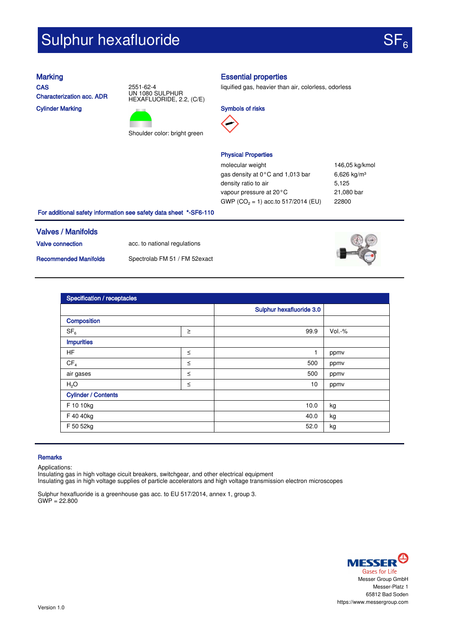# Sulphur hexafluoride

**CAS** Characterization acc. ADR Cylinder Marking





## Marking **Essential properties**

liquified gas, heavier than air, colorless, odorless







molecular weight 146,05 kg/kmol gas density at 0°C and 1,013 bar 6,626 kg/m<sup>3</sup> density ratio to air 5,125 vapour pressure at 20°C 21,080 bar GWP ( $CO<sub>2</sub> = 1$ ) acc.to 517/2014 (EU) 22800

### For additional safety information see safety data sheet \*-SF6-110

# Valves / Manifolds

Valve connection acc. to national regulations

Recommended Manifolds Spectrolab FM 51 / FM 52exact



| <b>Specification / receptacles</b> |        |                          |        |  |  |
|------------------------------------|--------|--------------------------|--------|--|--|
|                                    |        | Sulphur hexafluoride 3.0 |        |  |  |
| Composition                        |        |                          |        |  |  |
| SF <sub>6</sub>                    | $\geq$ | 99.9                     | Vol.-% |  |  |
| <b>Impurities</b>                  |        |                          |        |  |  |
| HF                                 | $\leq$ | $\mathbf{1}$             | ppmv   |  |  |
| CF <sub>4</sub>                    | $\leq$ | 500                      | ppmv   |  |  |
| air gases                          | $\leq$ | 500                      | ppmv   |  |  |
| H <sub>2</sub> O                   | $\leq$ | 10 <sup>1</sup>          | ppmv   |  |  |
| <b>Cylinder / Contents</b>         |        |                          |        |  |  |
| F 10 10kg                          |        | 10.0                     | kg     |  |  |
| F 40 40kg                          |        | 40.0                     | kg     |  |  |
| F 50 52kg                          |        | 52.0                     | kg     |  |  |

#### **Remarks**

Applications:

Insulating gas in high voltage cicuit breakers, switchgear, and other electrical equipment Insulating gas in high voltage supplies of particle accelerators and high voltage transmission electron microscopes

Sulphur hexafluoride is a greenhouse gas acc. to EU 517/2014, annex 1, group 3.  $GWP = 22.800$